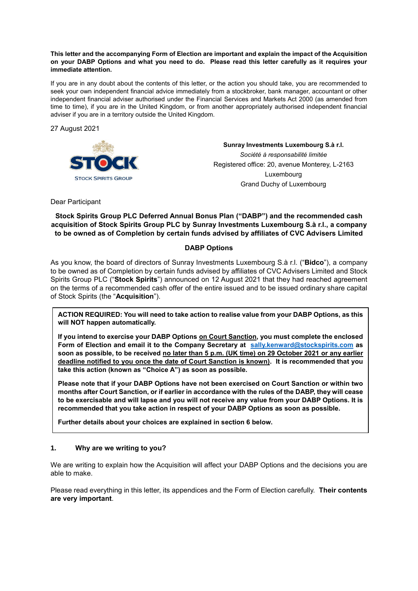#### **This letter and the accompanying Form of Election are important and explain the impact of the Acquisition on your DABP Options and what you need to do. Please read this letter carefully as it requires your immediate attention.**

If you are in any doubt about the contents of this letter, or the action you should take, you are recommended to seek your own independent financial advice immediately from a stockbroker, bank manager, accountant or other independent financial adviser authorised under the Financial Services and Markets Act 2000 (as amended from time to time), if you are in the United Kingdom, or from another appropriately authorised independent financial adviser if you are in a territory outside the United Kingdom.

27 August 2021



**Sunray Investments Luxembourg S.à r.l.**  *Société à responsabilité limitée*  Registered office: 20, avenue Monterey, L-2163 Luxembourg Grand Duchy of Luxembourg

Dear Participant

**Stock Spirits Group PLC Deferred Annual Bonus Plan ("DABP") and the recommended cash acquisition of Stock Spirits Group PLC by Sunray Investments Luxembourg S.à r.l., a company to be owned as of Completion by certain funds advised by affiliates of CVC Advisers Limited**

## **DABP Options**

As you know, the board of directors of Sunray Investments Luxembourg S.à r.l. ("**Bidco**"), a company to be owned as of Completion by certain funds advised by affiliates of CVC Advisers Limited and Stock Spirits Group PLC ("**Stock Spirits**") announced on 12 August 2021 that they had reached agreement on the terms of a recommended cash offer of the entire issued and to be issued ordinary share capital of Stock Spirits (the "**Acquisition**").

**ACTION REQUIRED: You will need to take action to realise value from your DABP Options, as this will NOT happen automatically.** 

**If you intend to exercise your DABP Options on Court Sanction, you must complete the enclosed Form of Election and email it to the Company Secretary at sally.kenward@stockspirits.com as soon as possible, to be received no later than 5 p.m. (UK time) on 29 October 2021 or any earlier deadline notified to you once the date of Court Sanction is known). It is recommended that you take this action (known as "Choice A") as soon as possible.**

**Please note that if your DABP Options have not been exercised on Court Sanction or within two months after Court Sanction, or if earlier in accordance with the rules of the DABP, they will cease to be exercisable and will lapse and you will not receive any value from your DABP Options. It is recommended that you take action in respect of your DABP Options as soon as possible.**

**Further details about your choices are explained in section 6 below.**

## **1. Why are we writing to you?**

We are writing to explain how the Acquisition will affect your DABP Options and the decisions you are able to make.

Please read everything in this letter, its appendices and the Form of Election carefully. **Their contents are very important**.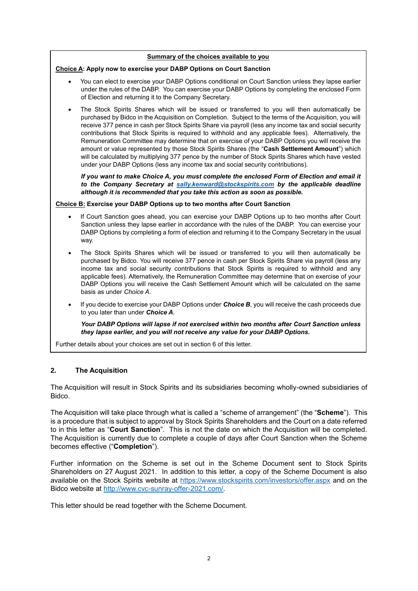#### **Summary of the choices available to you**

#### **Choice A: Apply now to exercise your DABP Options on Court Sanction**

- You can elect to exercise your DABP Options conditional on Court Sanction unless they lapse earlier under the rules of the DABP. You can exercise your DABP Options by completing the enclosed Form of Election and returning it to the Company Secretary.
- The Stock Spirits Shares which will be issued or transferred to you will then automatically be purchased by Bidco in the Acquisition on Completion. Subject to the terms of the Acquisition, you will receive 377 pence in cash per Stock Spirits Share via payroll (less any income tax and social security contributions that Stock Spirits is required to withhold and any applicable fees). Alternatively, the Remuneration Committee may determine that on exercise of your DABP Options you will receive the amount or value represented by those Stock Spirits Shares (the "**Cash Settlement Amount**") which will be calculated by multiplying 377 pence by the number of Stock Spirits Shares which have vested under your DABP Options (less any income tax and social security contributions).

*If you want to make Choice A, you must complete the enclosed Form of Election and email it to the Company Secretary at sally.kenward@stockspirits.com by the applicable deadline although it is recommended that you take this action as soon as possible.*

#### **Choice B: Exercise your DABP Options up to two months after Court Sanction**

- If Court Sanction goes ahead, you can exercise your DABP Options up to two months after Court Sanction unless they lapse earlier in accordance with the rules of the DABP. You can exercise your DABP Options by completing a form of election and returning it to the Company Secretary in the usual way.
- The Stock Spirits Shares which will be issued or transferred to you will then automatically be purchased by Bidco. You will receive 377 pence in cash per Stock Spirits Share via payroll (less any income tax and social security contributions that Stock Spirits is required to withhold and any applicable fees). Alternatively, the Remuneration Committee may determine that on exercise of your DABP Options you will receive the Cash Settlement Amount which will be calculated on the same basis as under *Choice A*.
- If you decide to exercise your DABP Options under *Choice B*, you will receive the cash proceeds due to you later than under *Choice A*.

*Your DABP Options will lapse if not exercised within two months after Court Sanction unless they lapse earlier, and you will not receive any value for your DABP Options.*

Further details about your choices are set out in section 6 of this letter.

## **2. The Acquisition**

The Acquisition will result in Stock Spirits and its subsidiaries becoming wholly-owned subsidiaries of Bidco.

The Acquisition will take place through what is called a "scheme of arrangement" (the "**Scheme**"). This is a procedure that is subject to approval by Stock Spirits Shareholders and the Court on a date referred to in this letter as "**Court Sanction**". This is not the date on which the Acquisition will be completed. The Acquisition is currently due to complete a couple of days after Court Sanction when the Scheme becomes effective ("**Completion**").

Further information on the Scheme is set out in the Scheme Document sent to Stock Spirits Shareholders on 27 August 2021. In addition to this letter, a copy of the Scheme Document is also available on the Stock Spirits website at https://www.stockspirits.com/investors/offer.aspx and on the Bidco website at http://www.cvc-sunray-offer-2021.com/.

This letter should be read together with the Scheme Document.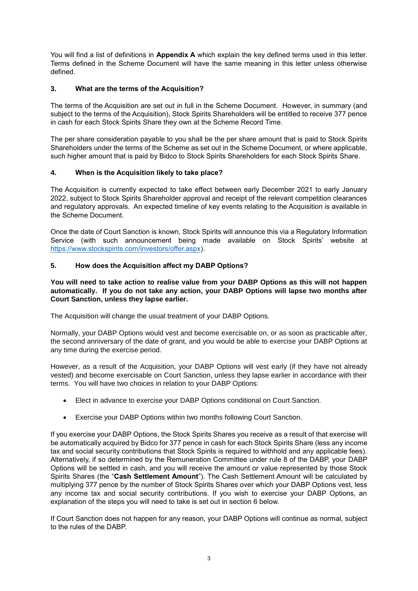You will find a list of definitions in **Appendix A** which explain the key defined terms used in this letter. Terms defined in the Scheme Document will have the same meaning in this letter unless otherwise defined.

# **3. What are the terms of the Acquisition?**

The terms of the Acquisition are set out in full in the Scheme Document. However, in summary (and subject to the terms of the Acquisition), Stock Spirits Shareholders will be entitled to receive 377 pence in cash for each Stock Spirits Share they own at the Scheme Record Time.

The per share consideration payable to you shall be the per share amount that is paid to Stock Spirits Shareholders under the terms of the Scheme as set out in the Scheme Document, or where applicable, such higher amount that is paid by Bidco to Stock Spirits Shareholders for each Stock Spirits Share.

## **4. When is the Acquisition likely to take place?**

The Acquisition is currently expected to take effect between early December 2021 to early January 2022, subject to Stock Spirits Shareholder approval and receipt of the relevant competition clearances and regulatory approvals. An expected timeline of key events relating to the Acquisition is available in the Scheme Document.

Once the date of Court Sanction is known, Stock Spirits will announce this via a Regulatory Information Service (with such announcement being made available on Stock Spirits' website at https://www.stockspirits.com/investors/offer.aspx).

## **5. How does the Acquisition affect my DABP Options?**

#### **You will need to take action to realise value from your DABP Options as this will not happen automatically. If you do not take any action, your DABP Options will lapse two months after Court Sanction, unless they lapse earlier.**

The Acquisition will change the usual treatment of your DABP Options.

Normally, your DABP Options would vest and become exercisable on, or as soon as practicable after, the second anniversary of the date of grant, and you would be able to exercise your DABP Options at any time during the exercise period.

However, as a result of the Acquisition, your DABP Options will vest early (if they have not already vested) and become exercisable on Court Sanction, unless they lapse earlier in accordance with their terms. You will have two choices in relation to your DABP Options:

- Elect in advance to exercise your DABP Options conditional on Court Sanction.
- Exercise your DABP Options within two months following Court Sanction.

If you exercise your DABP Options, the Stock Spirits Shares you receive as a result of that exercise will be automatically acquired by Bidco for 377 pence in cash for each Stock Spirits Share (less any income tax and social security contributions that Stock Spirits is required to withhold and any applicable fees). Alternatively, if so determined by the Remuneration Committee under rule 8 of the DABP, your DABP Options will be settled in cash, and you will receive the amount or value represented by those Stock Spirits Shares (the "**Cash Settlement Amount**"). The Cash Settlement Amount will be calculated by multiplying 377 pence by the number of Stock Spirits Shares over which your DABP Options vest, less any income tax and social security contributions. If you wish to exercise your DABP Options, an explanation of the steps you will need to take is set out in section 6 below.

If Court Sanction does not happen for any reason, your DABP Options will continue as normal, subject to the rules of the DABP.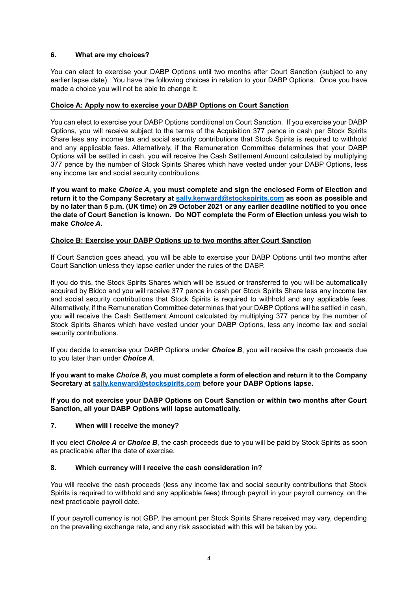## **6. What are my choices?**

You can elect to exercise your DABP Options until two months after Court Sanction (subject to any earlier lapse date). You have the following choices in relation to your DABP Options. Once you have made a choice you will not be able to change it:

## **Choice A: Apply now to exercise your DABP Options on Court Sanction**

You can elect to exercise your DABP Options conditional on Court Sanction. If you exercise your DABP Options, you will receive subject to the terms of the Acquisition 377 pence in cash per Stock Spirits Share less any income tax and social security contributions that Stock Spirits is required to withhold and any applicable fees. Alternatively, if the Remuneration Committee determines that your DABP Options will be settled in cash, you will receive the Cash Settlement Amount calculated by multiplying 377 pence by the number of Stock Spirits Shares which have vested under your DABP Options, less any income tax and social security contributions.

**If you want to make** *Choice A***, you must complete and sign the enclosed Form of Election and return it to the Company Secretary at sally.kenward@stockspirits.com as soon as possible and by no later than 5 p.m. (UK time) on 29 October 2021 or any earlier deadline notified to you once the date of Court Sanction is known. Do NOT complete the Form of Election unless you wish to make** *Choice A***.**

## **Choice B: Exercise your DABP Options up to two months after Court Sanction**

If Court Sanction goes ahead, you will be able to exercise your DABP Options until two months after Court Sanction unless they lapse earlier under the rules of the DABP.

If you do this, the Stock Spirits Shares which will be issued or transferred to you will be automatically acquired by Bidco and you will receive 377 pence in cash per Stock Spirits Share less any income tax and social security contributions that Stock Spirits is required to withhold and any applicable fees. Alternatively, if the Remuneration Committee determines that your DABP Options will be settled in cash, you will receive the Cash Settlement Amount calculated by multiplying 377 pence by the number of Stock Spirits Shares which have vested under your DABP Options, less any income tax and social security contributions.

If you decide to exercise your DABP Options under *Choice B*, you will receive the cash proceeds due to you later than under *Choice A*.

## **If you want to make** *Choice B***, you must complete a form of election and return it to the Company Secretary at sally.kenward@stockspirits.com before your DABP Options lapse.**

## **If you do not exercise your DABP Options on Court Sanction or within two months after Court Sanction, all your DABP Options will lapse automatically.**

## **7. When will I receive the money?**

If you elect *Choice A* or *Choice B*, the cash proceeds due to you will be paid by Stock Spirits as soon as practicable after the date of exercise.

## **8. Which currency will I receive the cash consideration in?**

You will receive the cash proceeds (less any income tax and social security contributions that Stock Spirits is required to withhold and any applicable fees) through payroll in your payroll currency, on the next practicable payroll date.

If your payroll currency is not GBP, the amount per Stock Spirits Share received may vary, depending on the prevailing exchange rate, and any risk associated with this will be taken by you.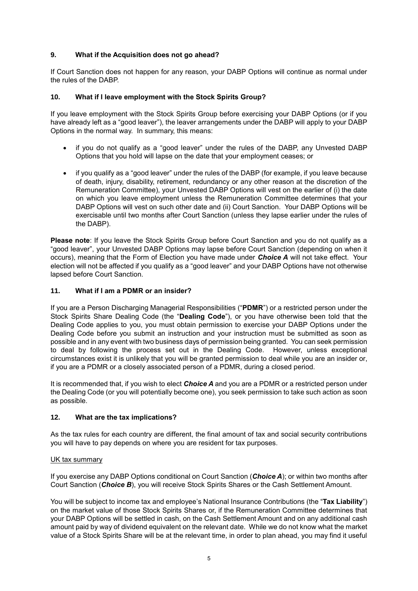## **9. What if the Acquisition does not go ahead?**

If Court Sanction does not happen for any reason, your DABP Options will continue as normal under the rules of the DABP.

## **10. What if I leave employment with the Stock Spirits Group?**

If you leave employment with the Stock Spirits Group before exercising your DABP Options (or if you have already left as a "good leaver"), the leaver arrangements under the DABP will apply to your DABP Options in the normal way. In summary, this means:

- if you do not qualify as a "good leaver" under the rules of the DABP, any Unvested DABP Options that you hold will lapse on the date that your employment ceases; or
- if you qualify as a "good leaver" under the rules of the DABP (for example, if you leave because of death, injury, disability, retirement, redundancy or any other reason at the discretion of the Remuneration Committee), your Unvested DABP Options will vest on the earlier of (i) the date on which you leave employment unless the Remuneration Committee determines that your DABP Options will vest on such other date and (ii) Court Sanction. Your DABP Options will be exercisable until two months after Court Sanction (unless they lapse earlier under the rules of the DABP).

**Please note**: If you leave the Stock Spirits Group before Court Sanction and you do not qualify as a "good leaver", your Unvested DABP Options may lapse before Court Sanction (depending on when it occurs), meaning that the Form of Election you have made under *Choice A* will not take effect. Your election will not be affected if you qualify as a "good leaver" and your DABP Options have not otherwise lapsed before Court Sanction.

## **11. What if I am a PDMR or an insider?**

If you are a Person Discharging Managerial Responsibilities ("**PDMR**") or a restricted person under the Stock Spirits Share Dealing Code (the "**Dealing Code**"), or you have otherwise been told that the Dealing Code applies to you, you must obtain permission to exercise your DABP Options under the Dealing Code before you submit an instruction and your instruction must be submitted as soon as possible and in any event with two business days of permission being granted. You can seek permission to deal by following the process set out in the Dealing Code. However, unless exceptional circumstances exist it is unlikely that you will be granted permission to deal while you are an insider or, if you are a PDMR or a closely associated person of a PDMR, during a closed period.

It is recommended that, if you wish to elect *Choice A* and you are a PDMR or a restricted person under the Dealing Code (or you will potentially become one), you seek permission to take such action as soon as possible.

## **12. What are the tax implications?**

As the tax rules for each country are different, the final amount of tax and social security contributions you will have to pay depends on where you are resident for tax purposes.

## UK tax summary

If you exercise any DABP Options conditional on Court Sanction (*Choice A*); or within two months after Court Sanction (*Choice B*), you will receive Stock Spirits Shares or the Cash Settlement Amount.

You will be subject to income tax and employee's National Insurance Contributions (the "**Tax Liability**") on the market value of those Stock Spirits Shares or, if the Remuneration Committee determines that your DABP Options will be settled in cash, on the Cash Settlement Amount and on any additional cash amount paid by way of dividend equivalent on the relevant date. While we do not know what the market value of a Stock Spirits Share will be at the relevant time, in order to plan ahead, you may find it useful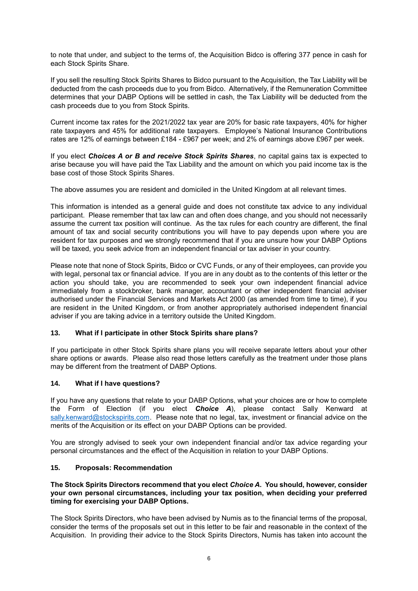to note that under, and subject to the terms of, the Acquisition Bidco is offering 377 pence in cash for each Stock Spirits Share.

If you sell the resulting Stock Spirits Shares to Bidco pursuant to the Acquisition, the Tax Liability will be deducted from the cash proceeds due to you from Bidco. Alternatively, if the Remuneration Committee determines that your DABP Options will be settled in cash, the Tax Liability will be deducted from the cash proceeds due to you from Stock Spirits.

Current income tax rates for the 2021/2022 tax year are 20% for basic rate taxpayers, 40% for higher rate taxpayers and 45% for additional rate taxpayers. Employee's National Insurance Contributions rates are 12% of earnings between £184 - £967 per week; and 2% of earnings above £967 per week.

If you elect *Choices A or B and receive Stock Spirits Shares*, no capital gains tax is expected to arise because you will have paid the Tax Liability and the amount on which you paid income tax is the base cost of those Stock Spirits Shares.

The above assumes you are resident and domiciled in the United Kingdom at all relevant times.

This information is intended as a general guide and does not constitute tax advice to any individual participant. Please remember that tax law can and often does change, and you should not necessarily assume the current tax position will continue. As the tax rules for each country are different, the final amount of tax and social security contributions you will have to pay depends upon where you are resident for tax purposes and we strongly recommend that if you are unsure how your DABP Options will be taxed, you seek advice from an independent financial or tax adviser in your country.

Please note that none of Stock Spirits, Bidco or CVC Funds, or any of their employees, can provide you with legal, personal tax or financial advice. If you are in any doubt as to the contents of this letter or the action you should take, you are recommended to seek your own independent financial advice immediately from a stockbroker, bank manager, accountant or other independent financial adviser authorised under the Financial Services and Markets Act 2000 (as amended from time to time), if you are resident in the United Kingdom, or from another appropriately authorised independent financial adviser if you are taking advice in a territory outside the United Kingdom.

## **13. What if I participate in other Stock Spirits share plans?**

If you participate in other Stock Spirits share plans you will receive separate letters about your other share options or awards. Please also read those letters carefully as the treatment under those plans may be different from the treatment of DABP Options.

## **14. What if I have questions?**

If you have any questions that relate to your DABP Options, what your choices are or how to complete the Form of Election (if you elect *Choice A*), please contact Sally Kenward at sally.kenward@stockspirits.com. Please note that no legal, tax, investment or financial advice on the merits of the Acquisition or its effect on your DABP Options can be provided.

You are strongly advised to seek your own independent financial and/or tax advice regarding your personal circumstances and the effect of the Acquisition in relation to your DABP Options.

## **15. Proposals: Recommendation**

## **The Stock Spirits Directors recommend that you elect** *Choice A***. You should, however, consider your own personal circumstances, including your tax position, when deciding your preferred timing for exercising your DABP Options.**

The Stock Spirits Directors, who have been advised by Numis as to the financial terms of the proposal, consider the terms of the proposals set out in this letter to be fair and reasonable in the context of the Acquisition. In providing their advice to the Stock Spirits Directors, Numis has taken into account the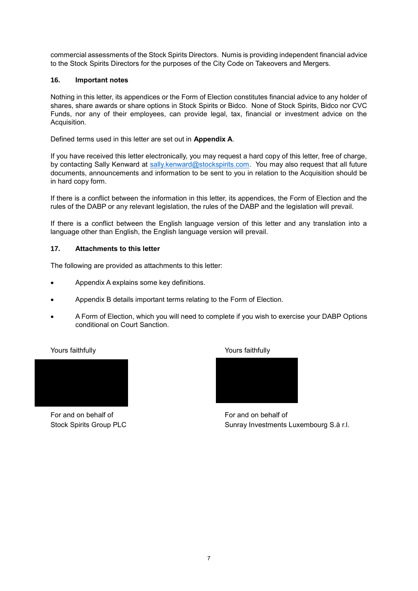commercial assessments of the Stock Spirits Directors. Numis is providing independent financial advice to the Stock Spirits Directors for the purposes of the City Code on Takeovers and Mergers.

## **16. Important notes**

Nothing in this letter, its appendices or the Form of Election constitutes financial advice to any holder of shares, share awards or share options in Stock Spirits or Bidco. None of Stock Spirits, Bidco nor CVC Funds, nor any of their employees, can provide legal, tax, financial or investment advice on the Acquisition.

Defined terms used in this letter are set out in **Appendix A**.

If you have received this letter electronically, you may request a hard copy of this letter, free of charge, by contacting Sally Kenward at sally.kenward@stockspirits.com. You may also request that all future documents, announcements and information to be sent to you in relation to the Acquisition should be in hard copy form.

If there is a conflict between the information in this letter, its appendices, the Form of Election and the rules of the DABP or any relevant legislation, the rules of the DABP and the legislation will prevail.

If there is a conflict between the English language version of this letter and any translation into a language other than English, the English language version will prevail.

## **17. Attachments to this letter**

The following are provided as attachments to this letter:

- Appendix A explains some key definitions.
- Appendix B details important terms relating to the Form of Election.
- A Form of Election, which you will need to complete if you wish to exercise your DABP Options conditional on Court Sanction.



For and on behalf of **For and on behalf of** For and on behalf of

Yours faithfully Yours faithfully



Stock Spirits Group PLC Sunray Investments Luxembourg S.à r.l.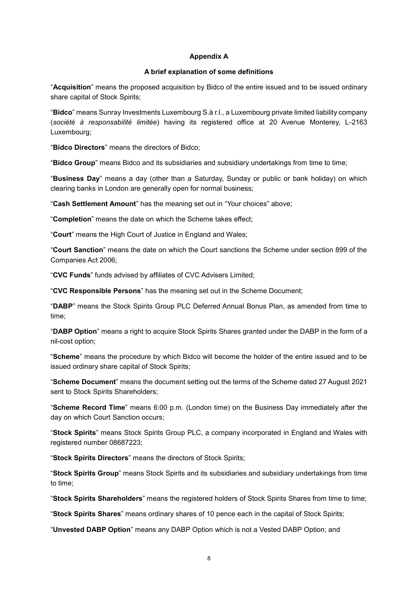## **Appendix A**

#### **A brief explanation of some definitions**

"**Acquisition**" means the proposed acquisition by Bidco of the entire issued and to be issued ordinary share capital of Stock Spirits;

"**Bidco**" means Sunray Investments Luxembourg S.à r.l., a Luxembourg private limited liability company (*société à responsabilité limitée*) having its registered office at 20 Avenue Monterey, L-2163 Luxembourg;

"**Bidco Directors**" means the directors of Bidco;

"**Bidco Group**" means Bidco and its subsidiaries and subsidiary undertakings from time to time;

"**Business Day**" means a day (other than a Saturday, Sunday or public or bank holiday) on which clearing banks in London are generally open for normal business;

"**Cash Settlement Amount**" has the meaning set out in "Your choices" above;

"**Completion**" means the date on which the Scheme takes effect;

"**Court**" means the High Court of Justice in England and Wales;

"**Court Sanction**" means the date on which the Court sanctions the Scheme under section 899 of the Companies Act 2006;

"**CVC Funds**" funds advised by affiliates of CVC Advisers Limited;

"**CVC Responsible Persons**" has the meaning set out in the Scheme Document;

"**DABP**" means the Stock Spirits Group PLC Deferred Annual Bonus Plan, as amended from time to time;

"**DABP Option**" means a right to acquire Stock Spirits Shares granted under the DABP in the form of a nil-cost option;

"**Scheme**" means the procedure by which Bidco will become the holder of the entire issued and to be issued ordinary share capital of Stock Spirits;

"**Scheme Document**" means the document setting out the terms of the Scheme dated 27 August 2021 sent to Stock Spirits Shareholders:

"**Scheme Record Time**" means 6:00 p.m. (London time) on the Business Day immediately after the day on which Court Sanction occurs;

"**Stock Spirits**" means Stock Spirits Group PLC, a company incorporated in England and Wales with registered number 08687223;

"**Stock Spirits Directors**" means the directors of Stock Spirits;

"**Stock Spirits Group**" means Stock Spirits and its subsidiaries and subsidiary undertakings from time to time;

"**Stock Spirits Shareholders**" means the registered holders of Stock Spirits Shares from time to time;

"**Stock Spirits Shares**" means ordinary shares of 10 pence each in the capital of Stock Spirits;

"**Unvested DABP Option**" means any DABP Option which is not a Vested DABP Option; and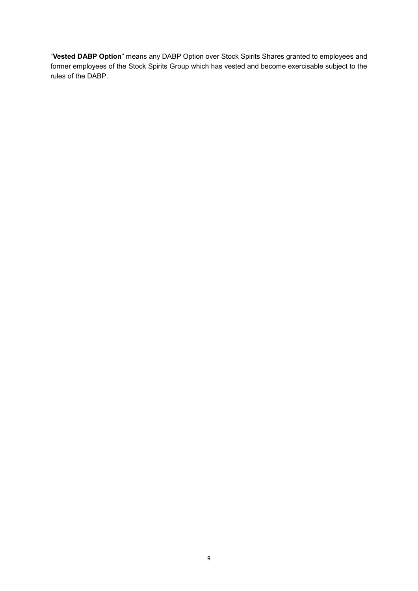"**Vested DABP Option**" means any DABP Option over Stock Spirits Shares granted to employees and former employees of the Stock Spirits Group which has vested and become exercisable subject to the rules of the DABP.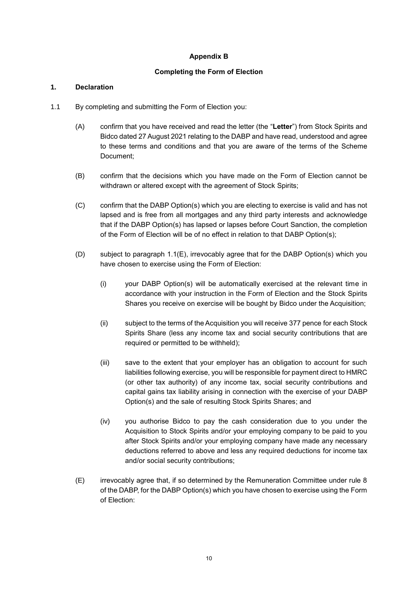# **Appendix B**

## **Completing the Form of Election**

## **1. Declaration**

- 1.1 By completing and submitting the Form of Election you:
	- (A) confirm that you have received and read the letter (the "**Letter**") from Stock Spirits and Bidco dated 27 August 2021 relating to the DABP and have read, understood and agree to these terms and conditions and that you are aware of the terms of the Scheme Document;
	- (B) confirm that the decisions which you have made on the Form of Election cannot be withdrawn or altered except with the agreement of Stock Spirits;
	- (C) confirm that the DABP Option(s) which you are electing to exercise is valid and has not lapsed and is free from all mortgages and any third party interests and acknowledge that if the DABP Option(s) has lapsed or lapses before Court Sanction, the completion of the Form of Election will be of no effect in relation to that DABP Option(s);
	- (D) subject to paragraph 1.1(E), irrevocably agree that for the DABP Option(s) which you have chosen to exercise using the Form of Election:
		- (i) your DABP Option(s) will be automatically exercised at the relevant time in accordance with your instruction in the Form of Election and the Stock Spirits Shares you receive on exercise will be bought by Bidco under the Acquisition;
		- (ii) subject to the terms of the Acquisition you will receive 377 pence for each Stock Spirits Share (less any income tax and social security contributions that are required or permitted to be withheld);
		- (iii) save to the extent that your employer has an obligation to account for such liabilities following exercise, you will be responsible for payment direct to HMRC (or other tax authority) of any income tax, social security contributions and capital gains tax liability arising in connection with the exercise of your DABP Option(s) and the sale of resulting Stock Spirits Shares; and
		- (iv) you authorise Bidco to pay the cash consideration due to you under the Acquisition to Stock Spirits and/or your employing company to be paid to you after Stock Spirits and/or your employing company have made any necessary deductions referred to above and less any required deductions for income tax and/or social security contributions;
	- (E) irrevocably agree that, if so determined by the Remuneration Committee under rule 8 of the DABP, for the DABP Option(s) which you have chosen to exercise using the Form of Election: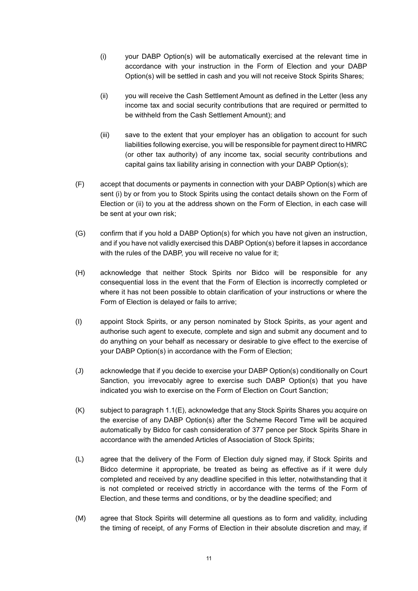- (i) your DABP Option(s) will be automatically exercised at the relevant time in accordance with your instruction in the Form of Election and your DABP Option(s) will be settled in cash and you will not receive Stock Spirits Shares;
- (ii) you will receive the Cash Settlement Amount as defined in the Letter (less any income tax and social security contributions that are required or permitted to be withheld from the Cash Settlement Amount); and
- (iii) save to the extent that your employer has an obligation to account for such liabilities following exercise, you will be responsible for payment direct to HMRC (or other tax authority) of any income tax, social security contributions and capital gains tax liability arising in connection with your DABP Option(s);
- (F) accept that documents or payments in connection with your DABP Option(s) which are sent (i) by or from you to Stock Spirits using the contact details shown on the Form of Election or (ii) to you at the address shown on the Form of Election, in each case will be sent at your own risk;
- (G) confirm that if you hold a DABP Option(s) for which you have not given an instruction, and if you have not validly exercised this DABP Option(s) before it lapses in accordance with the rules of the DABP, you will receive no value for it;
- (H) acknowledge that neither Stock Spirits nor Bidco will be responsible for any consequential loss in the event that the Form of Election is incorrectly completed or where it has not been possible to obtain clarification of your instructions or where the Form of Election is delayed or fails to arrive;
- (I) appoint Stock Spirits, or any person nominated by Stock Spirits, as your agent and authorise such agent to execute, complete and sign and submit any document and to do anything on your behalf as necessary or desirable to give effect to the exercise of your DABP Option(s) in accordance with the Form of Election;
- (J) acknowledge that if you decide to exercise your DABP Option(s) conditionally on Court Sanction, you irrevocably agree to exercise such DABP Option(s) that you have indicated you wish to exercise on the Form of Election on Court Sanction;
- (K) subject to paragraph 1.1(E), acknowledge that any Stock Spirits Shares you acquire on the exercise of any DABP Option(s) after the Scheme Record Time will be acquired automatically by Bidco for cash consideration of 377 pence per Stock Spirits Share in accordance with the amended Articles of Association of Stock Spirits;
- (L) agree that the delivery of the Form of Election duly signed may, if Stock Spirits and Bidco determine it appropriate, be treated as being as effective as if it were duly completed and received by any deadline specified in this letter, notwithstanding that it is not completed or received strictly in accordance with the terms of the Form of Election, and these terms and conditions, or by the deadline specified; and
- (M) agree that Stock Spirits will determine all questions as to form and validity, including the timing of receipt, of any Forms of Election in their absolute discretion and may, if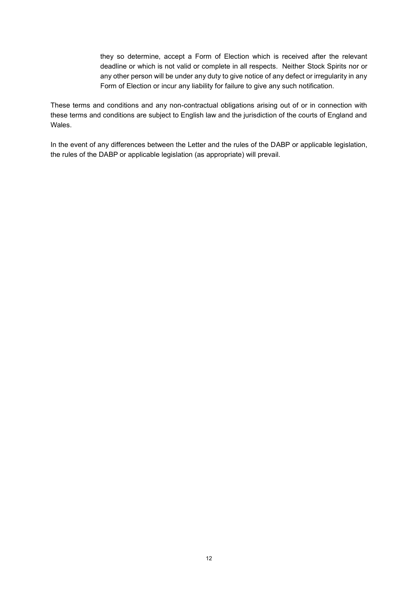they so determine, accept a Form of Election which is received after the relevant deadline or which is not valid or complete in all respects. Neither Stock Spirits nor or any other person will be under any duty to give notice of any defect or irregularity in any Form of Election or incur any liability for failure to give any such notification.

These terms and conditions and any non-contractual obligations arising out of or in connection with these terms and conditions are subject to English law and the jurisdiction of the courts of England and Wales.

In the event of any differences between the Letter and the rules of the DABP or applicable legislation, the rules of the DABP or applicable legislation (as appropriate) will prevail.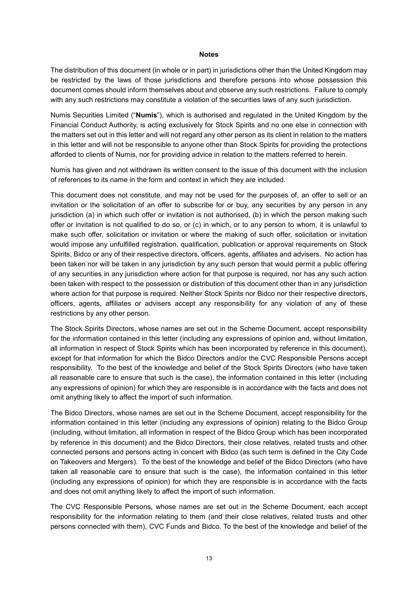#### **Notes**

The distribution of this document (in whole or in part) in jurisdictions other than the United Kingdom may be restricted by the laws of those jurisdictions and therefore persons into whose possession this document comes should inform themselves about and observe any such restrictions. Failure to comply with any such restrictions may constitute a violation of the securities laws of any such jurisdiction.

Numis Securities Limited ("**Numis**"), which is authorised and regulated in the United Kingdom by the Financial Conduct Authority, is acting exclusively for Stock Spirits and no one else in connection with the matters set out in this letter and will not regard any other person as its client in relation to the matters in this letter and will not be responsible to anyone other than Stock Spirits for providing the protections afforded to clients of Numis, nor for providing advice in relation to the matters referred to herein.

Numis has given and not withdrawn its written consent to the issue of this document with the inclusion of references to its name in the form and context in which they are included.

This document does not constitute, and may not be used for the purposes of, an offer to sell or an invitation or the solicitation of an offer to subscribe for or buy, any securities by any person in any jurisdiction (a) in which such offer or invitation is not authorised, (b) in which the person making such offer or invitation is not qualified to do so, or (c) in which, or to any person to whom, it is unlawful to make such offer, solicitation or invitation or where the making of such offer, solicitation or invitation would impose any unfulfilled registration, qualification, publication or approval requirements on Stock Spirits, Bidco or any of their respective directors, officers, agents, affiliates and advisers. No action has been taken nor will be taken in any jurisdiction by any such person that would permit a public offering of any securities in any jurisdiction where action for that purpose is required, nor has any such action been taken with respect to the possession or distribution of this document other than in any jurisdiction where action for that purpose is required. Neither Stock Spirits nor Bidco nor their respective directors, officers, agents, affiliates or advisers accept any responsibility for any violation of any of these restrictions by any other person.

The Stock Spirits Directors, whose names are set out in the Scheme Document, accept responsibility for the information contained in this letter (including any expressions of opinion and, without limitation, all information in respect of Stock Spirits which has been incorporated by reference in this document), except for that information for which the Bidco Directors and/or the CVC Responsible Persons accept responsibility. To the best of the knowledge and belief of the Stock Spirits Directors (who have taken all reasonable care to ensure that such is the case), the information contained in this letter (including any expressions of opinion) for which they are responsible is in accordance with the facts and does not omit anything likely to affect the import of such information.

The Bidco Directors, whose names are set out in the Scheme Document, accept responsibility for the information contained in this letter (including any expressions of opinion) relating to the Bidco Group (including, without limitation, all information in respect of the Bidco Group which has been incorporated by reference in this document) and the Bidco Directors, their close relatives, related trusts and other connected persons and persons acting in concert with Bidco (as such term is defined in the City Code on Takeovers and Mergers). To the best of the knowledge and belief of the Bidco Directors (who have taken all reasonable care to ensure that such is the case), the information contained in this letter (including any expressions of opinion) for which they are responsible is in accordance with the facts and does not omit anything likely to affect the import of such information.

The CVC Responsible Persons, whose names are set out in the Scheme Document, each accept responsibility for the information relating to them (and their close relatives, related trusts and other persons connected with them), CVC Funds and Bidco. To the best of the knowledge and belief of the